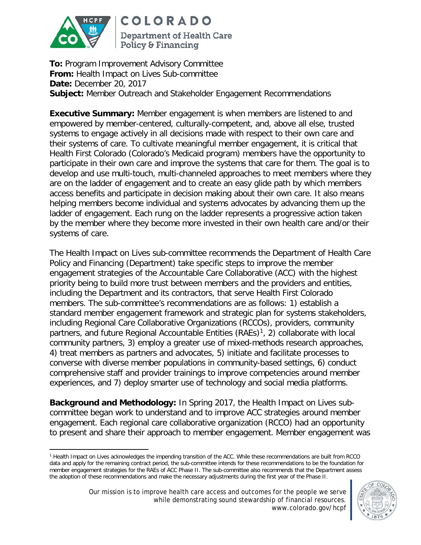

**COLORADO** 

**Department of Health Care** Policy & Financing

**To:** Program Improvement Advisory Committee **From:** Health Impact on Lives Sub-committee **Date:** December 20, 2017 **Subject:** Member Outreach and Stakeholder Engagement Recommendations

**Executive Summary:** Member engagement is when members are listened to and empowered by member-centered, culturally-competent, and, above all else, trusted systems to engage actively in all decisions made with respect to their own care and their systems of care. To cultivate meaningful member engagement, it is critical that Health First Colorado (Colorado's Medicaid program) members have the opportunity to participate in their own care and improve the systems that care for them. The goal is to develop and use multi-touch, multi-channeled approaches to meet members where they are on the ladder of engagement and to create an easy glide path by which members access benefits and participate in decision making about their own care. It also means helping members become individual and systems advocates by advancing them up the ladder of engagement. Each rung on the ladder represents a progressive action taken by the member where they become more invested in their own health care and/or their systems of care.

The Health Impact on Lives sub-committee recommends the Department of Health Care Policy and Financing (Department) take specific steps to improve the member engagement strategies of the Accountable Care Collaborative (ACC) with the highest priority being to build more trust between members and the providers and entities, including the Department and its contractors, that serve Health First Colorado members. The sub-committee's recommendations are as follows: 1) establish a standard member engagement framework and strategic plan for systems stakeholders, including Regional Care Collaborative Organizations (RCCOs), providers, community partners, and future Regional Accountable Entities  $(RAEs)<sup>1</sup>$ , 2) collaborate with local community partners, 3) employ a greater use of mixed-methods research approaches, 4) treat members as partners and advocates, 5) initiate and facilitate processes to converse with diverse member populations in community-based settings, 6) conduct comprehensive staff and provider trainings to improve competencies around member experiences, and 7) deploy smarter use of technology and social media platforms.

**Background and Methodology:** In Spring 2017, the Health Impact on Lives subcommittee began work to understand and to improve ACC strategies around member engagement. Each regional care collaborative organization (RCCO) had an opportunity to present and share their approach to member engagement. Member engagement was

<span id="page-0-0"></span> $\overline{a}$ <sup>1</sup> Health Impact on Lives acknowledges the impending transition of the ACC. While these recommendations are built from RCCO data and apply for the remaining contract period, the sub-committee intends for these recommendations to be the foundation for member engagement strategies for the RAEs of ACC Phase II. The sub-committee also recommends that the Department assess the adoption of these recommendations and make the necessary adjustments during the first year of the Phase II.

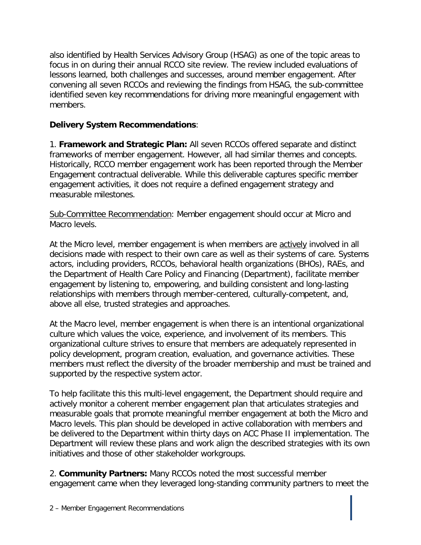also identified by Health Services Advisory Group (HSAG) as one of the topic areas to focus in on during their annual RCCO site review. The review included evaluations of lessons learned, both challenges and successes, around member engagement. After convening all seven RCCOs and reviewing the findings from HSAG, the sub-committee identified seven key recommendations for driving more meaningful engagement with members.

## **Delivery System Recommendations**:

1. **Framework and Strategic Plan:** All seven RCCOs offered separate and distinct frameworks of member engagement. However, all had similar themes and concepts. Historically, RCCO member engagement work has been reported through the Member Engagement contractual deliverable. While this deliverable captures specific member engagement activities, it does not require a defined engagement strategy and measurable milestones.

Sub-Committee Recommendation: Member engagement should occur at Micro and Macro levels.

At the Micro level, member engagement is when members are actively involved in all decisions made with respect to their own care as well as their systems of care. Systems actors, including providers, RCCOs, behavioral health organizations (BHOs), RAEs, and the Department of Health Care Policy and Financing (Department), facilitate member engagement by listening to, empowering, and building consistent and long-lasting relationships with members through member-centered, culturally-competent, and, above all else, trusted strategies and approaches.

At the Macro level, member engagement is when there is an intentional organizational culture which values the voice, experience, and involvement of its members. This organizational culture strives to ensure that members are adequately represented in policy development, program creation, evaluation, and governance activities. These members must reflect the diversity of the broader membership and must be trained and supported by the respective system actor.

To help facilitate this this multi-level engagement, the Department should require and actively monitor a coherent member engagement plan that articulates strategies and measurable goals that promote meaningful member engagement at both the Micro and Macro levels. This plan should be developed in active collaboration with members and be delivered to the Department within thirty days on ACC Phase II implementation. The Department will review these plans and work align the described strategies with its own initiatives and those of other stakeholder workgroups.

2. **Community Partners:** Many RCCOs noted the most successful member engagement came when they leveraged long-standing community partners to meet the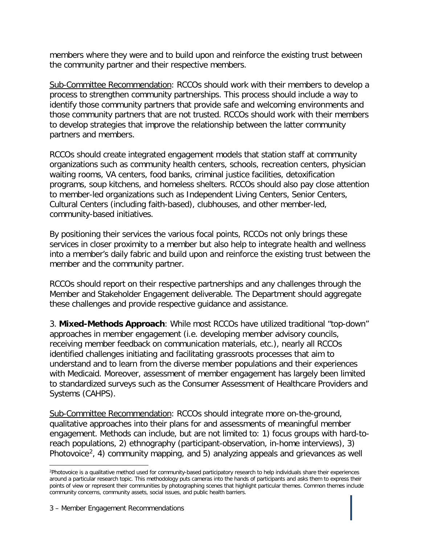members where they were and to build upon and reinforce the existing trust between the community partner and their respective members.

Sub-Committee Recommendation: RCCOs should work with their members to develop a process to strengthen community partnerships. This process should include a way to identify those community partners that provide safe and welcoming environments and those community partners that are not trusted. RCCOs should work with their members to develop strategies that improve the relationship between the latter community partners and members.

RCCOs should create integrated engagement models that station staff at community organizations such as community health centers, schools, recreation centers, physician waiting rooms, VA centers, food banks, criminal justice facilities, detoxification programs, soup kitchens, and homeless shelters. RCCOs should also pay close attention to member-led organizations such as Independent Living Centers, Senior Centers, Cultural Centers (including faith-based), clubhouses, and other member-led, community-based initiatives.

By positioning their services the various focal points, RCCOs not only brings these services in closer proximity to a member but also help to integrate health and wellness into a member's daily fabric and build upon and reinforce the existing trust between the member and the community partner.

RCCOs should report on their respective partnerships and any challenges through the Member and Stakeholder Engagement deliverable. The Department should aggregate these challenges and provide respective guidance and assistance.

3. **Mixed-Methods Approach**: While most RCCOs have utilized traditional "top-down" approaches in member engagement (i.e. developing member advisory councils, receiving member feedback on communication materials, etc.), nearly all RCCOs identified challenges initiating and facilitating grassroots processes that aim to understand and to learn from the diverse member populations and their experiences with Medicaid. Moreover, assessment of member engagement has largely been limited to standardized surveys such as the Consumer Assessment of Healthcare Providers and Systems (CAHPS).

Sub-Committee Recommendation: RCCOs should integrate more on-the-ground, qualitative approaches into their plans for and assessments of meaningful member engagement. Methods can include, but are not limited to: 1) focus groups with hard-toreach populations, 2) ethnography (participant-observation, in-home interviews), 3) Photovoice<sup>[2](#page-2-0)</sup>, 4) community mapping, and 5) analyzing appeals and grievances as well

 $\overline{a}$ 

<span id="page-2-0"></span><sup>2</sup> Photovoice is a qualitative method used for community-based participatory research to help individuals share their experiences around a particular research topic. This methodology puts cameras into the hands of participants and asks them to express their points of view or represent their communities by photographing scenes that highlight particular themes. Common themes include community concerns, community assets, social issues, and public health barriers.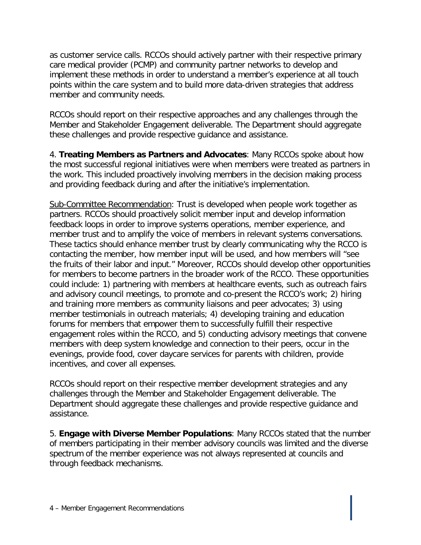as customer service calls. RCCOs should actively partner with their respective primary care medical provider (PCMP) and community partner networks to develop and implement these methods in order to understand a member's experience at all touch points within the care system and to build more data-driven strategies that address member and community needs.

RCCOs should report on their respective approaches and any challenges through the Member and Stakeholder Engagement deliverable. The Department should aggregate these challenges and provide respective guidance and assistance.

4. **Treating Members as Partners and Advocates**: Many RCCOs spoke about how the most successful regional initiatives were when members were treated as partners in the work. This included proactively involving members in the decision making process and providing feedback during and after the initiative's implementation.

Sub-Committee Recommendation: Trust is developed when people work together as partners. RCCOs should proactively solicit member input and develop information feedback loops in order to improve systems operations, member experience, and member trust and to amplify the voice of members in relevant systems conversations. These tactics should enhance member trust by clearly communicating why the RCCO is contacting the member, how member input will be used, and how members will "see the fruits of their labor and input." Moreover, RCCOs should develop other opportunities for members to become partners in the broader work of the RCCO. These opportunities could include: 1) partnering with members at healthcare events, such as outreach fairs and advisory council meetings, to promote and co-present the RCCO's work; 2) hiring and training more members as community liaisons and peer advocates; 3) using member testimonials in outreach materials; 4) developing training and education forums for members that empower them to successfully fulfill their respective engagement roles within the RCCO, and 5) conducting advisory meetings that convene members with deep system knowledge and connection to their peers, occur in the evenings, provide food, cover daycare services for parents with children, provide incentives, and cover all expenses.

RCCOs should report on their respective member development strategies and any challenges through the Member and Stakeholder Engagement deliverable. The Department should aggregate these challenges and provide respective guidance and assistance.

5. **Engage with Diverse Member Populations**: Many RCCOs stated that the number of members participating in their member advisory councils was limited and the diverse spectrum of the member experience was not always represented at councils and through feedback mechanisms.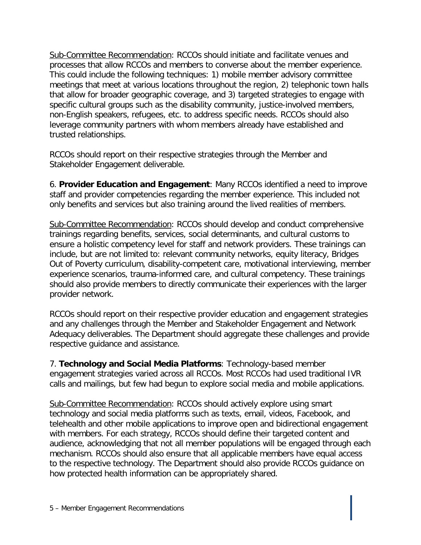Sub-Committee Recommendation: RCCOs should initiate and facilitate venues and processes that allow RCCOs and members to converse about the member experience. This could include the following techniques: 1) mobile member advisory committee meetings that meet at various locations throughout the region, 2) telephonic town halls that allow for broader geographic coverage, and 3) targeted strategies to engage with specific cultural groups such as the disability community, justice-involved members, non-English speakers, refugees, etc. to address specific needs. RCCOs should also leverage community partners with whom members already have established and trusted relationships.

RCCOs should report on their respective strategies through the Member and Stakeholder Engagement deliverable.

6. **Provider Education and Engagement**: Many RCCOs identified a need to improve staff and provider competencies regarding the member experience. This included not only benefits and services but also training around the lived realities of members.

Sub-Committee Recommendation: RCCOs should develop and conduct comprehensive trainings regarding benefits, services, social determinants, and cultural customs to ensure a holistic competency level for staff and network providers. These trainings can include, but are not limited to: relevant community networks, equity literacy, Bridges Out of Poverty curriculum, disability-competent care, motivational interviewing, member experience scenarios, trauma-informed care, and cultural competency. These trainings should also provide members to directly communicate their experiences with the larger provider network.

RCCOs should report on their respective provider education and engagement strategies and any challenges through the Member and Stakeholder Engagement and Network Adequacy deliverables. The Department should aggregate these challenges and provide respective guidance and assistance.

7. **Technology and Social Media Platforms**: Technology-based member engagement strategies varied across all RCCOs. Most RCCOs had used traditional IVR calls and mailings, but few had begun to explore social media and mobile applications.

Sub-Committee Recommendation: RCCOs should actively explore using smart technology and social media platforms such as texts, email, videos, Facebook, and telehealth and other mobile applications to improve open and bidirectional engagement with members. For each strategy, RCCOs should define their targeted content and audience, acknowledging that not all member populations will be engaged through each mechanism. RCCOs should also ensure that all applicable members have equal access to the respective technology. The Department should also provide RCCOs guidance on how protected health information can be appropriately shared.